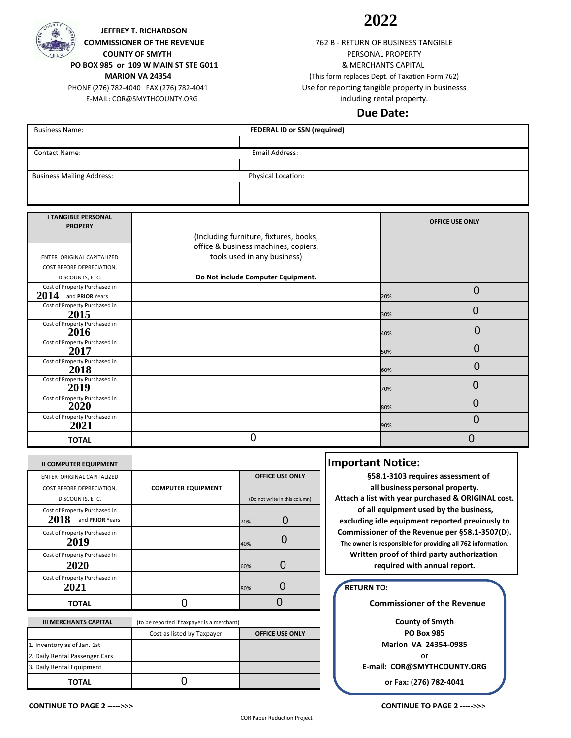

 **COMMISSIONER OF THE REVENUE COUNTY OF SMYTH JEFFREY T. RICHARDSON PO BOX 985 or 109 W MAIN ST STE G011**

 **MARION VA 24354**

 PHONE (276) 782-4040 FAX (276) 782-4041 E-MAIL: COR@SMYTHCOUNTY.ORG

# **2022**

including rental property. 762 B - RETURN OF BUSINESS TANGIBLE PERSONAL PROPERTY & MERCHANTS CAPITAL (This form replaces Dept. of Taxation Form 762) Use for reporting tangible property in businesss

### **Due Date:**

| <b>Business Name:</b>            | FEDERAL ID or SSN (required)           |                        |
|----------------------------------|----------------------------------------|------------------------|
|                                  |                                        |                        |
| <b>Contact Name:</b>             | Email Address:                         |                        |
|                                  |                                        |                        |
| <b>Business Mailing Address:</b> | Physical Location:                     |                        |
|                                  |                                        |                        |
|                                  |                                        |                        |
| <b>I TANGIBLE PERSONAL</b>       |                                        |                        |
| <b>PROPERY</b>                   |                                        | <b>OFFICE USE ONLY</b> |
|                                  | (Including furniture, fixtures, books, |                        |

|                                                          | office & business machines, copiers, |     |        |
|----------------------------------------------------------|--------------------------------------|-----|--------|
| ENTER ORIGINAL CAPITALIZED                               | tools used in any business)          |     |        |
| COST BEFORE DEPRECIATION,                                |                                      |     |        |
| DISCOUNTS, ETC.                                          | Do Not include Computer Equipment.   |     |        |
| Cost of Property Purchased in<br>2014<br>and PRIOR Years |                                      | 20% |        |
| Cost of Property Purchased in                            |                                      |     |        |
| 2015                                                     |                                      | 30% |        |
| Cost of Property Purchased in<br>2016                    |                                      | 40% | 0      |
| Cost of Property Purchased in                            |                                      |     |        |
| 2017                                                     |                                      | 50% |        |
| Cost of Property Purchased in                            |                                      |     |        |
| 2018                                                     |                                      | 60% |        |
| Cost of Property Purchased in<br>2019                    |                                      | 70% | $\Box$ |
| Cost of Property Purchased in                            |                                      |     |        |
| 2020                                                     |                                      | 80% |        |
| Cost of Property Purchased in<br>2021                    |                                      | 90% |        |
| <b>TOTAL</b>                                             | 0                                    |     |        |

| <b>TOTAL</b>                                                               |                                            |                                                         |    |
|----------------------------------------------------------------------------|--------------------------------------------|---------------------------------------------------------|----|
| <b>II COMPUTER EQUIPMENT</b>                                               |                                            |                                                         | Ir |
| ENTER ORIGINAL CAPITALIZED<br>COST BEFORE DEPRECIATION,<br>DISCOUNTS, ETC. | <b>COMPUTER EQUIPMENT</b>                  | <b>OFFICE USE ONLY</b><br>(Do not write in this column) |    |
| Cost of Property Purchased in<br>2018<br>and <b>PRIOR</b> Years            |                                            | 20%                                                     |    |
| Cost of Property Purchased in<br>2019                                      |                                            | 40%                                                     |    |
| Cost of Property Purchased in<br>2020                                      |                                            | 0<br>60%                                                |    |
| Cost of Property Purchased in<br>2021                                      |                                            | 80%                                                     |    |
| <b>TOTAL</b>                                                               |                                            |                                                         |    |
| <b>III MERCHANTS CAPITAL</b>                                               | (to be reported if taxpayer is a merchant) |                                                         |    |
|                                                                            | Cost as listed by Taxpayer                 | <b>OFFICE USE ONLY</b>                                  |    |
| 1. Inventory as of Jan. 1st                                                |                                            |                                                         |    |
| 2. Daily Rental Passenger Cars                                             |                                            |                                                         |    |

0

# **Important Notice:**

 **of all equipment used by the business, excluding idle equipment reported previously to Commissioner of the Revenue per §58.1-3507(D). The owner is responsible for providing all 762 information. Written proof of third party authorization §58.1-3103 requires assessment of all business personal property. Attach a list with year purchased & ORIGINAL cost. required with annual report.**

#### **RETURN TO:**

 **Commissioner of the Revenue**

or **or Fax: (276) 782-4041 County of Smyth PO Box 985 Marion VA 24354-0985 E-mail: COR@SMYTHCOUNTY.ORG**

**TOTAL**

Daily Rental Equipment